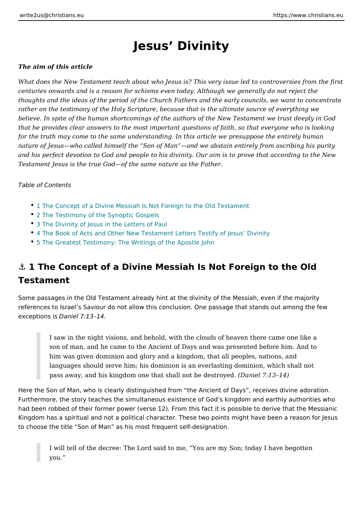## Jesus Divinity

#### The aim of this article

What does the New Testament teach about who Jesus is? This very issue led to a centuries onwards and is a reason for schisms even today. Although we generall thoughts and the ideas of the period of the Church Fathers and the early council rather on the testimony of the Holy Scripture, because that is the ultimate sourc believe. In spite of the human shortcomings of the authors of the New Testament that he provides clear answers to the most important questions of faith, so that for the truth may come to the same understanding. In this article we presuppose nature of Jesus who called himself the Son of Man and we abstain entirely fron and his perfect devotion to God and people to his divinity. Our aim is to prove th Testament Jesus is the true God of the same nature as the Father.

Table of Contents

- 1 The Concept of a Divine Messiah Is Not Foreign to the Old Testament
- [2 The Testimony of the Syno](#page-1-0)ptic Gospels
- [3 The Divinity of Jesus in the](#page-2-0) Letters of Paul
- [4 The Book of Acts and Other New Testament Letters T](#page-3-0)estify of Jesus Divin
- [5 The Greatest Testimony: The Writings o](#page-3-0)f the Apostle John

## & 1 The Concept of a Divine Messiah Is Not Foreign to the Older Testament

Some passages in the Old Testament already hint at the divinity of the Messiah, references to Israel s Saviour do not allow this conclusion. One passage that stands out  $exception$   $\Omega$  asiel 7:13 14.

I saw in the night visions, and behold, with the clouds of heaven there son of man, and he came to the Ancient of Days and was presented before him was given dominion and glory and a kingdom, that all peoples, nation languages should serve him; his dominion is an everlasting dominion, w pass away, and his kingdom one that shall  $\boldsymbol{\check{u}}$  be dest  $\boldsymbol{\mathcal{B}}$  of  $\boldsymbol{\check{\theta}}$  .

Here the Son of Man, who is clearly distinguished from the Ancient of Days, re Furthermore, the story teaches the simultaneous existence of God s kingdom and had been robbed of their former power (verse 12). From this fact it is possible to Kingdom has a spiritual and not a political character. These two points might ha to choose the title Son of Man as his most frequent self-designation.

I will tell of the decree: The Lord said to me, You are my Son; today I you.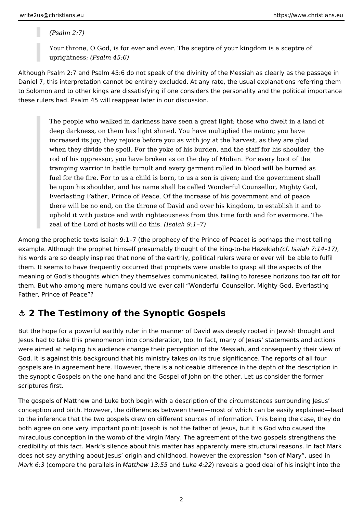<span id="page-1-0"></span>*(Psalm 2:7)*

Your throne, O God, is for ever and ever. The sceptre of your kingdom is a sceptre of uprightness; *(Psalm 45:6)*

Although Psalm 2:7 and Psalm 45:6 do not speak of the divinity of the Messiah as clearly as the passage in Daniel 7, this interpretation cannot be entirely excluded. At any rate, the usual explanations referring them to Solomon and to other kings are dissatisfying if one considers the personality and the political importance these rulers had. Psalm 45 will reappear later in our discussion.

The people who walked in darkness have seen a great light; those who dwelt in a land of deep darkness, on them has light shined. You have multiplied the nation; you have increased its joy; they rejoice before you as with joy at the harvest, as they are glad when they divide the spoil. For the yoke of his burden, and the staff for his shoulder, the rod of his oppressor, you have broken as on the day of Midian. For every boot of the tramping warrior in battle tumult and every garment rolled in blood will be burned as fuel for the fire. For to us a child is born, to us a son is given; and the government shall be upon his shoulder, and his name shall be called Wonderful Counsellor, Mighty God, Everlasting Father, Prince of Peace. Of the increase of his government and of peace there will be no end, on the throne of David and over his kingdom, to establish it and to uphold it with justice and with righteousness from this time forth and for evermore. The zeal of the Lord of hosts will do this. *(Isaiah 9:1–7)*

Among the prophetic texts Isaiah 9:1–7 (the prophecy of the Prince of Peace) is perhaps the most telling example. Although the prophet himself presumably thought of the king-to-be Hezekiah *(cf. Isaiah 7:14–17)*, his words are so deeply inspired that none of the earthly, political rulers were or ever will be able to fulfil them. It seems to have frequently occurred that prophets were unable to grasp all the aspects of the meaning of God's thoughts which they themselves communicated, failing to foresee horizons too far off for them. But who among mere humans could we ever call "Wonderful Counsellor, Mighty God, Everlasting Father, Prince of Peace"?

#### **⚓ 2 The Testimony of the Synoptic Gospels**

But the hope for a powerful earthly ruler in the manner of David was deeply rooted in Jewish thought and Jesus had to take this phenomenon into consideration, too. In fact, many of Jesus' statements and actions were aimed at helping his audience change their perception of the Messiah, and consequently their view of God. It is against this background that his ministry takes on its true significance. The reports of all four gospels are in agreement here. However, there is a noticeable difference in the depth of the description in the synoptic Gospels on the one hand and the Gospel of John on the other. Let us consider the former scriptures first.

The gospels of Matthew and Luke both begin with a description of the circumstances surrounding Jesus' conception and birth. However, the differences between them—most of which can be easily explained—lead to the inference that the two gospels drew on different sources of information. This being the case, they do both agree on one very important point: Joseph is not the father of Jesus, but it is God who caused the miraculous conception in the womb of the virgin Mary. The agreement of the two gospels strengthens the credibility of this fact. Mark's silence about this matter has apparently mere structural reasons. In fact Mark does not say anything about Jesus' origin and childhood, however the expression "son of Mary", used in *Mark 6:3* (compare the parallels in *Matthew 13:55* and *Luke 4:22*) reveals a good deal of his insight into the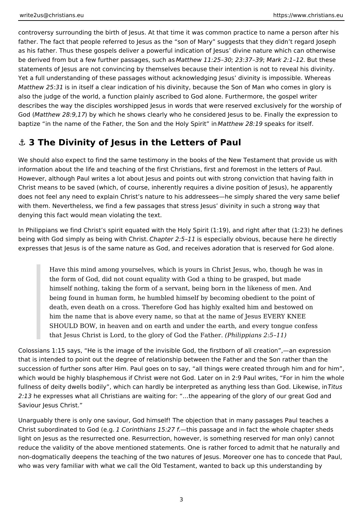<span id="page-2-0"></span>controversy surrounding the birth of Jesus. At that time it was common practice to name a person after his father. The fact that people referred to Jesus as the "son of Mary" suggests that they didn't regard Joseph as his father. Thus these gospels deliver a powerful indication of Jesus' divine nature which can otherwise be derived from but a few further passages, such as *Matthew 11:25–30*; *23:37–39*; *Mark 2:1–12*. But these statements of Jesus are not convincing by themselves because their intention is not to reveal his divinity. Yet a full understanding of these passages without acknowledging Jesus' divinity is impossible. Whereas *Matthew 25:31* is in itself a clear indication of his divinity, because the Son of Man who comes in glory is also the judge of the world, a function plainly ascribed to God alone. Furthermore, the gospel writer describes the way the disciples worshipped Jesus in words that were reserved exclusively for the worship of God (*Matthew 28:9,17*) by which he shows clearly who he considered Jesus to be. Finally the expression to baptize "in the name of the Father, the Son and the Holy Spirit" in *Matthew 28:19* speaks for itself.

### **⚓ 3 The Divinity of Jesus in the Letters of Paul**

We should also expect to find the same testimony in the books of the New Testament that provide us with information about the life and teaching of the first Christians, first and foremost in the letters of Paul. However, although Paul writes a lot about Jesus and points out with strong conviction that having faith in Christ means to be saved (which, of course, inherently requires a divine position of Jesus), he apparently does not feel any need to explain Christ's nature to his addressees—he simply shared the very same belief with them. Nevertheless, we find a few passages that stress Jesus' divinity in such a strong way that denying this fact would mean violating the text.

In Philippians we find Christ's spirit equated with the Holy Spirit (1:19), and right after that (1:23) he defines being with God simply as being with Christ. *Chapter 2:5–11* is especially obvious, because here he directly expresses that Jesus is of the same nature as God, and receives adoration that is reserved for God alone.

Have this mind among yourselves, which is yours in Christ Jesus, who, though he was in the form of God, did not count equality with God a thing to be grasped, but made himself nothing, taking the form of a servant, being born in the likeness of men. And being found in human form, he humbled himself by becoming obedient to the point of death, even death on a cross. Therefore God has highly exalted him and bestowed on him the name that is above every name, so that at the name of Jesus EVERY KNEE SHOULD BOW, in heaven and on earth and under the earth, and every tongue confess that Jesus Christ is Lord, to the glory of God the Father. *(Philippians 2:5–11)*

Colossians 1:15 says, "He is the image of the invisible God, the firstborn of all creation",—an expression that is intended to point out the degree of relationship between the Father and the Son rather than the succession of further sons after Him. Paul goes on to say, "all things were created through him and for him", which would be highly blasphemous if Christ were not God. Later on in 2:9 Paul writes, "For in him the whole fullness of deity dwells bodily", which can hardly be interpreted as anything less than God. Likewise, in *Titus 2:13* he expresses what all Christians are waiting for: "…the appearing of the glory of our great God and Saviour Jesus Christ."

Unarguably there is only one saviour, God himself! The objection that in many passages Paul teaches a Christ subordinated to God (e.g. *1 Corinthians 15:27 f.*—this passage and in fact the whole chapter sheds light on Jesus as the resurrected one. Resurrection, however, is something reserved for man only) cannot reduce the validity of the above mentioned statements. One is rather forced to admit that he naturally and non-dogmatically deepens the teaching of the two natures of Jesus. Moreover one has to concede that Paul, who was very familiar with what we call the Old Testament, wanted to back up this understanding by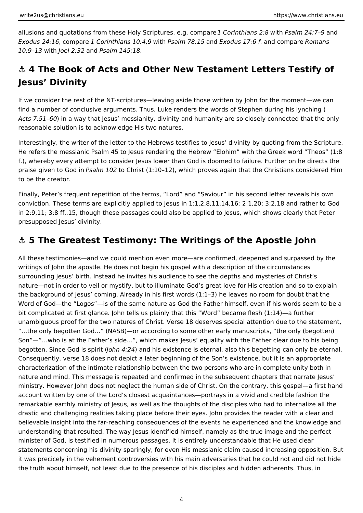<span id="page-3-0"></span>allusions and quotations from these Holy Scriptures, e.g. compare *1 Corinthians 2:8* with *Psalm 24:7–9* and *Exodus 24:16*, compare *1 Corinthians 10:4,9* with *Psalm 78:15* and *Exodus 17:6 f*. and compare *Romans 10:9–13* with *Joel 2:32* and *Psalm 145:18.*

# **⚓ 4 The Book of Acts and Other New Testament Letters Testify of Jesus' Divinity**

If we consider the rest of the NT-scriptures—leaving aside those written by John for the moment—we can find a number of conclusive arguments. Thus, Luke renders the words of Stephen during his lynching ( *Acts 7:51–60*) in a way that Jesus' messianity, divinity and humanity are so closely connected that the only reasonable solution is to acknowledge His two natures.

Interestingly, the writer of the letter to the Hebrews testifies to Jesus' divinity by quoting from the Scripture. He refers the messianic Psalm 45 to Jesus rendering the Hebrew "Elohim" with the Greek word "Theos" (1:8 f.), whereby every attempt to consider Jesus lower than God is doomed to failure. Further on he directs the praise given to God in *Psalm 102* to Christ (1:10–12), which proves again that the Christians considered Him to be the creator.

Finally, Peter's frequent repetition of the terms, "Lord" and "Saviour" in his second letter reveals his own conviction. These terms are explicitly applied to Jesus in 1:1,2,8,11,14,16; 2:1,20; 3:2,18 and rather to God in 2:9,11; 3:8 ff.,15, though these passages could also be applied to Jesus, which shows clearly that Peter presupposed Jesus' divinity.

### **⚓ 5 The Greatest Testimony: The Writings of the Apostle John**

All these testimonies—and we could mention even more—are confirmed, deepened and surpassed by the writings of John the apostle. He does not begin his gospel with a description of the circumstances surrounding Jesus' birth. Instead he invites his audience to see the depths and mysteries of Christ's nature—not in order to veil or mystify, but to illuminate God's great love for His creation and so to explain the background of Jesus' coming. Already in his first words (1:1–3) he leaves no room for doubt that the Word of God—the "Logos"—is of the same nature as God the Father himself, even if his words seem to be a bit complicated at first glance. John tells us plainly that this "Word" became flesh (1:14)—a further unambiguous proof for the two natures of Christ. Verse 18 deserves special attention due to the statement, "…the only begotten God…" (NASB)—or according to some other early manuscripts, "the only (begotten) Son"—"…who is at the Father's side…", which makes Jesus' equality with the Father clear due to his being begotten. Since God is spirit (*John 4:24*) and his existence is eternal, also this begetting can only be eternal. Consequently, verse 18 does not depict a later beginning of the Son's existence, but it is an appropriate characterization of the intimate relationship between the two persons who are in complete unity both in nature and mind. This message is repeated and confirmed in the subsequent chapters that narrate Jesus' ministry. However John does not neglect the human side of Christ. On the contrary, this gospel—a first hand account written by one of the Lord's closest acquaintances—portrays in a vivid and credible fashion the remarkable earthly ministry of Jesus, as well as the thoughts of the disciples who had to internalize all the drastic and challenging realities taking place before their eyes. John provides the reader with a clear and believable insight into the far-reaching consequences of the events he experienced and the knowledge and understanding that resulted. The way Jesus identified himself, namely as the true image and the perfect minister of God, is testified in numerous passages. It is entirely understandable that He used clear statements concerning his divinity sparingly, for even His messianic claim caused increasing opposition. But it was precicely in the vehement controversies with his main adversaries that he could not and did not hide the truth about himself, not least due to the presence of his disciples and hidden adherents. Thus, in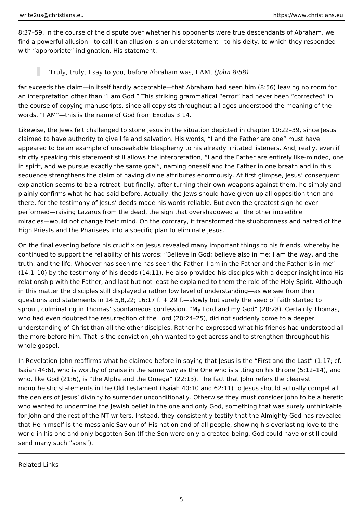8:37–59, in the course of the dispute over whether his opponents were true descendants of Abraham, we find a powerful allusion—to call it an allusion is an understatement—to his deity, to which they responded with "appropriate" indignation. His statement,

Truly, truly, I say to you, before Abraham was, I AM. *(John 8:58)*

far exceeds the claim—in itself hardly acceptable—that Abraham had seen him (8:56) leaving no room for an interpretation other than "I am God." This striking grammatical "error" had never been "corrected" in the course of copying manuscripts, since all copyists throughout all ages understood the meaning of the words, "I AM"—this is the name of God from Exodus 3:14.

Likewise, the Jews felt challenged to stone Jesus in the situation depicted in chapter 10:22–39, since Jesus claimed to have authority to give life and salvation. His words, "I and the Father are one" must have appeared to be an example of unspeakable blasphemy to his already irritated listeners. And, really, even if strictly speaking this statement still allows the interpretation, "I and the Father are entirely like-minded, one in spirit, and we pursue exactly the same goal", naming oneself and the Father in one breath and in this sequence strengthens the claim of having divine attributes enormously. At first glimpse, Jesus' consequent explanation seems to be a retreat, but finally, after turning their own weapons against them, he simply and plainly confirms what he had said before. Actually, the Jews should have given up all opposition then and there, for the testimony of Jesus' deeds made his words reliable. But even the greatest sign he ever performed—raising Lazarus from the dead, the sign that overshadowed all the other incredible miracles—would not change their mind. On the contrary, it transformed the stubbornness and hatred of the High Priests and the Pharisees into a specific plan to eliminate Jesus.

On the final evening before his crucifixion Jesus revealed many important things to his friends, whereby he continued to support the reliability of his words: "Believe in God; believe also in me; I am the way, and the truth, and the life; Whoever has seen me has seen the Father; I am in the Father and the Father is in me" (14:1–10) by the testimony of his deeds (14:11). He also provided his disciples with a deeper insight into His relationship with the Father, and last but not least he explained to them the role of the Holy Spirit. Although in this matter the disciples still displayed a rather low level of understanding—as we see from their questions and statements in 14:5,8,22; 16:17 f.  $+$  29 f.—slowly but surely the seed of faith started to sprout, culminating in Thomas' spontaneous confession, "My Lord and my God" (20:28). Certainly Thomas, who had even doubted the resurrection of the Lord (20:24–25), did not suddenly come to a deeper understanding of Christ than all the other disciples. Rather he expressed what his friends had understood all the more before him. That is the conviction John wanted to get across and to strengthen throughout his whole gospel.

In Revelation John reaffirms what he claimed before in saying that Jesus is the "First and the Last" (1:17; cf. Isaiah 44:6), who is worthy of praise in the same way as the One who is sitting on his throne (5:12–14), and who, like God (21:6), is "the Alpha and the Omega" (22:13). The fact that John refers the clearest monotheistic statements in the Old Testament (Isaiah 40:10 and 62:11) to Jesus should actually compel all the deniers of Jesus' divinity to surrender unconditionally. Otherwise they must consider John to be a heretic who wanted to undermine the Jewish belief in the one and only God, something that was surely unthinkable for John and the rest of the NT writers. Instead, they consistently testify that the Almighty God has revealed that He himself is the messianic Saviour of His nation and of all people, showing his everlasting love to the world in his one and only begotten Son (If the Son were only a created being, God could have or still could send many such "sons").

Related Links